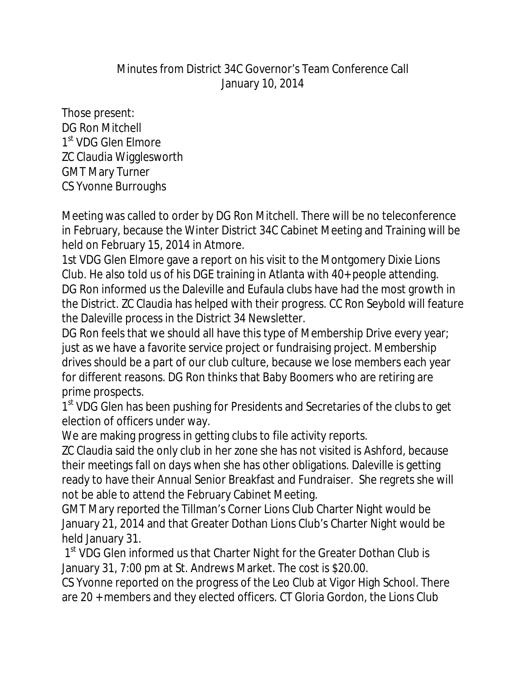## Minutes from District 34C Governor's Team Conference Call January 10, 2014

Those present: DG Ron Mitchell 1<sup>st</sup> VDG Glen Elmore ZC Claudia Wigglesworth GMT Mary Turner CS Yvonne Burroughs

Meeting was called to order by DG Ron Mitchell. There will be no teleconference in February, because the Winter District 34C Cabinet Meeting and Training will be held on February 15, 2014 in Atmore.

1st VDG Glen Elmore gave a report on his visit to the Montgomery Dixie Lions Club. He also told us of his DGE training in Atlanta with 40+ people attending. DG Ron informed us the Daleville and Eufaula clubs have had the most growth in the District. ZC Claudia has helped with their progress. CC Ron Seybold will feature the Daleville process in the District 34 Newsletter.

DG Ron feels that we should all have this type of Membership Drive every year; just as we have a favorite service project or fundraising project. Membership drives should be a part of our club culture, because we lose members each year for different reasons. DG Ron thinks that Baby Boomers who are retiring are prime prospects.

1<sup>st</sup> VDG Glen has been pushing for Presidents and Secretaries of the clubs to get election of officers under way.

We are making progress in getting clubs to file activity reports.

ZC Claudia said the only club in her zone she has not visited is Ashford, because their meetings fall on days when she has other obligations. Daleville is getting ready to have their Annual Senior Breakfast and Fundraiser. She regrets she will not be able to attend the February Cabinet Meeting.

GMT Mary reported the Tillman's Corner Lions Club Charter Night would be January 21, 2014 and that Greater Dothan Lions Club's Charter Night would be held January 31.

1<sup>st</sup> VDG Glen informed us that Charter Night for the Greater Dothan Club is January 31, 7:00 pm at St. Andrews Market. The cost is \$20.00.

CS Yvonne reported on the progress of the Leo Club at Vigor High School. There are 20 + members and they elected officers. CT Gloria Gordon, the Lions Club